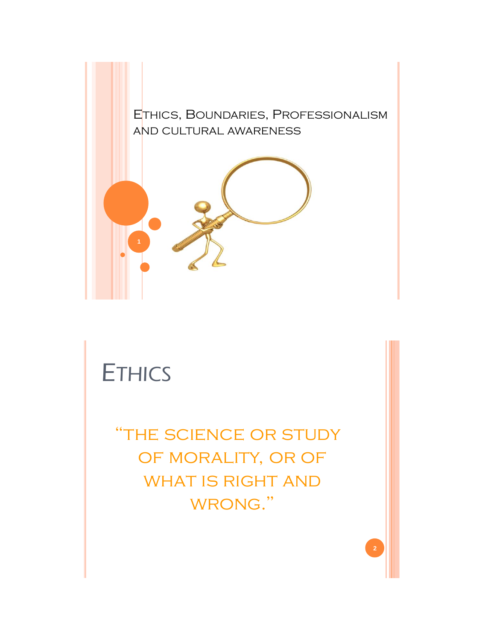

# **ETHICS**

"the science or study OF MORALITY, OR OF WHAT IS RIGHT AND WRONG."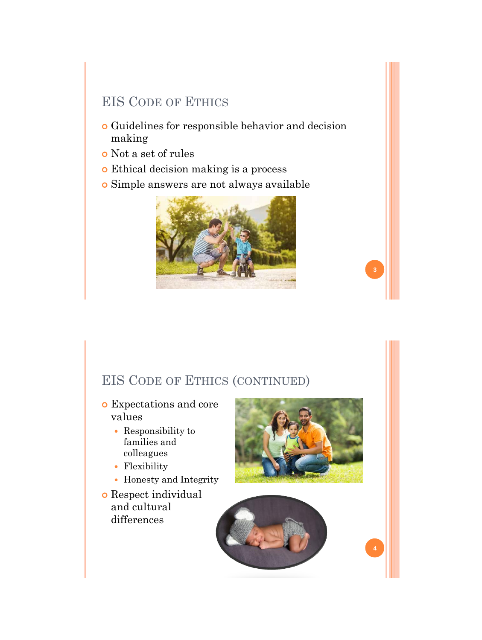## EIS CODE OF ETHICS

- Guidelines for responsible behavior and decision making
- Not a set of rules
- Ethical decision making is a process
- Simple answers are not always available



## EIS CODE OF ETHICS (CONTINUED)

- Expectations and core values
	- Responsibility to families and colleagues
	- Flexibility
	- Honesty and Integrity
- Respect individual and cultural differences



**3**

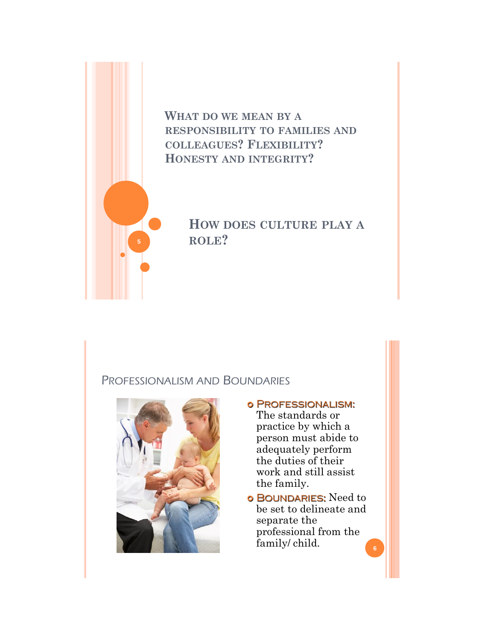

**WHAT DO WE MEAN BY A RESPONSIBILITY TO FAMILIES AND COLLEAGUES? FLEXIBILITY? HONESTY AND INTEGRITY?** 

> **HOW DOES CULTURE PLAY A ROLE?**

#### PROFESSIONALISM AND BOUNDARIES



- o PROFESSIONALISM: The standards or practice by which a person must abide to adequately perform the duties of their work and still assist the family.
- o BOUNDARIES: Need to be set to delineate and separate the professional from the family/ child. **<sup>6</sup>**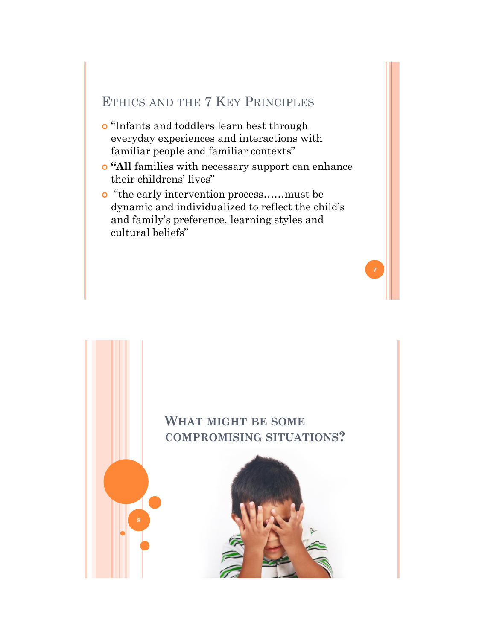## ETHICS AND THE 7 KEY PRINCIPLES

- "Infants and toddlers learn best through everyday experiences and interactions with familiar people and familiar contexts"
- **"All** families with necessary support can enhance their childrens' lives"
- "the early intervention process……must be dynamic and individualized to reflect the child's and family's preference, learning styles and cultural beliefs"

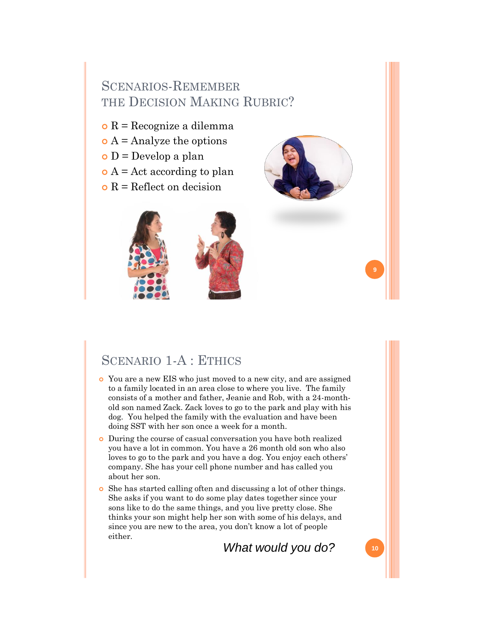## SCENARIOS-REMEMBER THE DECISION MAKING RUBRIC?

- $\circ$  R = Recognize a dilemma
- $\bullet$  A = Analyze the options
- $\circ$  D = Develop a plan
- $\bullet$  A = Act according to plan
- $\bullet$  R = Reflect on decision



# SCENARIO 1-A : ETHICS

- You are a new EIS who just moved to a new city, and are assigned to a family located in an area close to where you live. The family consists of a mother and father, Jeanie and Rob, with a 24-monthold son named Zack. Zack loves to go to the park and play with his dog. You helped the family with the evaluation and have been doing SST with her son once a week for a month.
- During the course of casual conversation you have both realized you have a lot in common. You have a 26 month old son who also loves to go to the park and you have a dog. You enjoy each others' company. She has your cell phone number and has called you about her son.
- She has started calling often and discussing a lot of other things. She asks if you want to do some play dates together since your sons like to do the same things, and you live pretty close. She thinks your son might help her son with some of his delays, and since you are new to the area, you don't know a lot of people either.

*What would you do?* **10**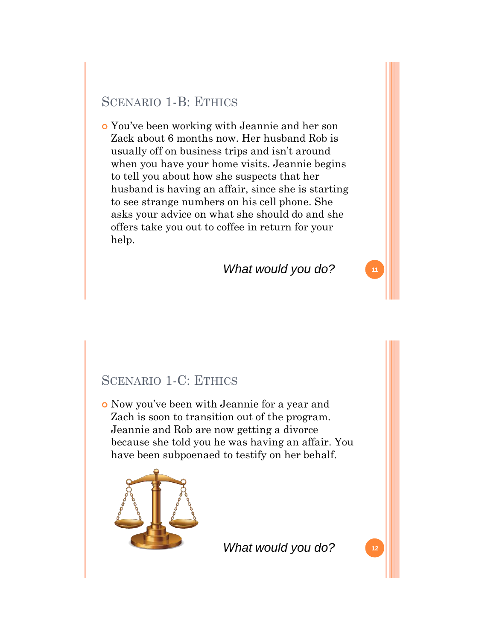### SCENARIO 1-B: ETHICS

 You've been working with Jeannie and her son Zack about 6 months now. Her husband Rob is usually off on business trips and isn't around when you have your home visits. Jeannie begins to tell you about how she suspects that her husband is having an affair, since she is starting to see strange numbers on his cell phone. She asks your advice on what she should do and she offers take you out to coffee in return for your help.

#### *What would you do?* **<sup>11</sup>**

### SCENARIO 1-C: ETHICS

 Now you've been with Jeannie for a year and Zach is soon to transition out of the program. Jeannie and Rob are now getting a divorce because she told you he was having an affair. You have been subpoenaed to testify on her behalf.



*What would you do?* **12**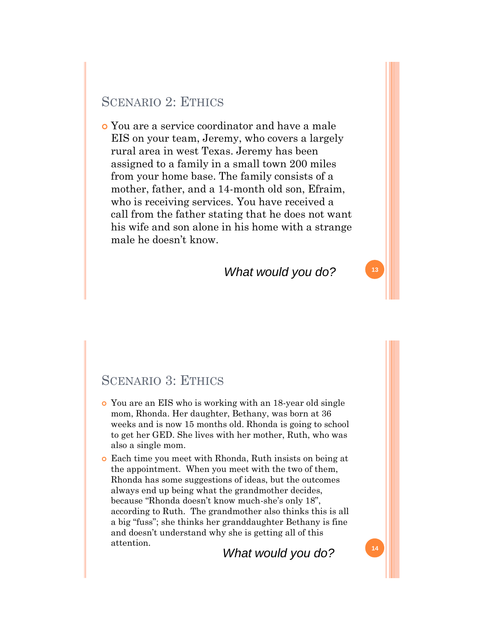#### SCENARIO 2: ETHICS

 You are a service coordinator and have a male EIS on your team, Jeremy, who covers a largely rural area in west Texas. Jeremy has been assigned to a family in a small town 200 miles from your home base. The family consists of a mother, father, and a 14-month old son, Efraim, who is receiving services. You have received a call from the father stating that he does not want his wife and son alone in his home with a strange male he doesn't know.

#### *What would you do?* **<sup>13</sup>**

#### SCENARIO 3: ETHICS

- You are an EIS who is working with an 18-year old single mom, Rhonda. Her daughter, Bethany, was born at 36 weeks and is now 15 months old. Rhonda is going to school to get her GED. She lives with her mother, Ruth, who was also a single mom.
- Each time you meet with Rhonda, Ruth insists on being at the appointment. When you meet with the two of them, Rhonda has some suggestions of ideas, but the outcomes always end up being what the grandmother decides, because "Rhonda doesn't know much-she's only 18", according to Ruth. The grandmother also thinks this is all a big "fuss"; she thinks her granddaughter Bethany is fine and doesn't understand why she is getting all of this attention.

**<sup>14</sup>** *What would you do?*